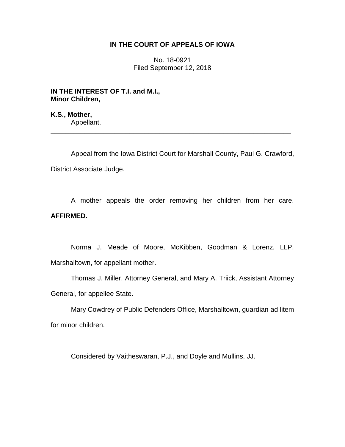## **IN THE COURT OF APPEALS OF IOWA**

No. 18-0921 Filed September 12, 2018

**IN THE INTEREST OF T.I. and M.I., Minor Children,**

**K.S., Mother,** Appellant.

Appeal from the Iowa District Court for Marshall County, Paul G. Crawford, District Associate Judge.

\_\_\_\_\_\_\_\_\_\_\_\_\_\_\_\_\_\_\_\_\_\_\_\_\_\_\_\_\_\_\_\_\_\_\_\_\_\_\_\_\_\_\_\_\_\_\_\_\_\_\_\_\_\_\_\_\_\_\_\_\_\_\_\_

A mother appeals the order removing her children from her care. **AFFIRMED.**

Norma J. Meade of Moore, McKibben, Goodman & Lorenz, LLP, Marshalltown, for appellant mother.

Thomas J. Miller, Attorney General, and Mary A. Triick, Assistant Attorney General, for appellee State.

Mary Cowdrey of Public Defenders Office, Marshalltown, guardian ad litem for minor children.

Considered by Vaitheswaran, P.J., and Doyle and Mullins, JJ.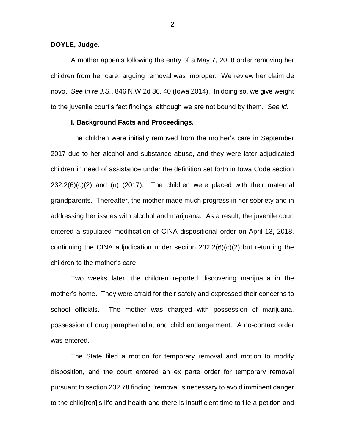## **DOYLE, Judge.**

A mother appeals following the entry of a May 7, 2018 order removing her children from her care, arguing removal was improper. We review her claim de novo. *See In re J.S.*, 846 N.W.2d 36, 40 (Iowa 2014). In doing so, we give weight to the juvenile court's fact findings, although we are not bound by them. *See id.*

## **I. Background Facts and Proceedings.**

The children were initially removed from the mother's care in September 2017 due to her alcohol and substance abuse, and they were later adjudicated children in need of assistance under the definition set forth in Iowa Code section 232.2(6)(c)(2) and (n) (2017). The children were placed with their maternal grandparents. Thereafter, the mother made much progress in her sobriety and in addressing her issues with alcohol and marijuana. As a result, the juvenile court entered a stipulated modification of CINA dispositional order on April 13, 2018, continuing the CINA adjudication under section 232.2(6)(c)(2) but returning the children to the mother's care.

Two weeks later, the children reported discovering marijuana in the mother's home. They were afraid for their safety and expressed their concerns to school officials. The mother was charged with possession of marijuana, possession of drug paraphernalia, and child endangerment. A no-contact order was entered.

The State filed a motion for temporary removal and motion to modify disposition, and the court entered an ex parte order for temporary removal pursuant to section 232.78 finding "removal is necessary to avoid imminent danger to the child[ren]'s life and health and there is insufficient time to file a petition and

2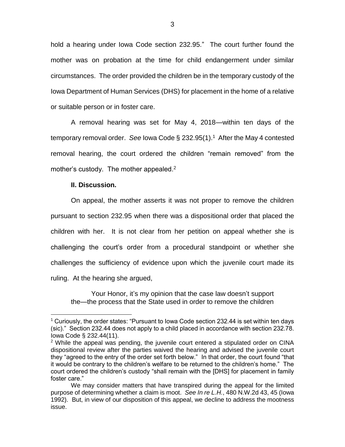hold a hearing under Iowa Code section 232.95." The court further found the mother was on probation at the time for child endangerment under similar circumstances. The order provided the children be in the temporary custody of the Iowa Department of Human Services (DHS) for placement in the home of a relative or suitable person or in foster care.

A removal hearing was set for May 4, 2018—within ten days of the temporary removal order. *See* Iowa Code § 232.95(1).<sup>1</sup> After the May 4 contested removal hearing, the court ordered the children "remain removed" from the mother's custody. The mother appealed.<sup>2</sup>

## **II. Discussion.**

 $\overline{a}$ 

On appeal, the mother asserts it was not proper to remove the children pursuant to section 232.95 when there was a dispositional order that placed the children with her. It is not clear from her petition on appeal whether she is challenging the court's order from a procedural standpoint or whether she challenges the sufficiency of evidence upon which the juvenile court made its ruling. At the hearing she argued,

Your Honor, it's my opinion that the case law doesn't support the—the process that the State used in order to remove the children

<sup>1</sup> Curiously, the order states: "Pursuant to Iowa Code section 232.44 is set within ten days (sic)." Section 232.44 does not apply to a child placed in accordance with section 232.78. Iowa Code § 232.44(11).

<sup>&</sup>lt;sup>2</sup> While the appeal was pending, the juvenile court entered a stipulated order on CINA dispositional review after the parties waived the hearing and advised the juvenile court they "agreed to the entry of the order set forth below." In that order, the court found "that it would be contrary to the children's welfare to be returned to the children's home." The court ordered the children's custody "shall remain with the [DHS] for placement in family foster care."

We may consider matters that have transpired during the appeal for the limited purpose of determining whether a claim is moot. *See In re L.H.*, 480 N.W.2d 43, 45 (Iowa 1992). But, in view of our disposition of this appeal, we decline to address the mootness issue.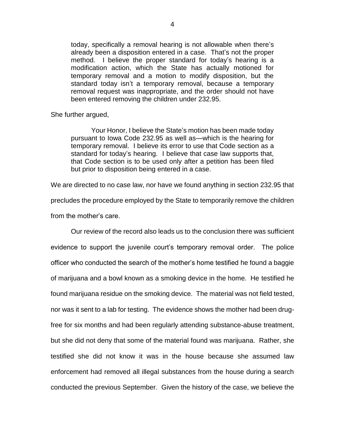today, specifically a removal hearing is not allowable when there's already been a disposition entered in a case. That's not the proper method. I believe the proper standard for today's hearing is a modification action, which the State has actually motioned for temporary removal and a motion to modify disposition, but the standard today isn't a temporary removal, because a temporary removal request was inappropriate, and the order should not have been entered removing the children under 232.95.

She further argued,

Your Honor, I believe the State's motion has been made today pursuant to Iowa Code 232.95 as well as—which is the hearing for temporary removal. I believe its error to use that Code section as a standard for today's hearing. I believe that case law supports that, that Code section is to be used only after a petition has been filed but prior to disposition being entered in a case.

We are directed to no case law, nor have we found anything in section 232.95 that precludes the procedure employed by the State to temporarily remove the children from the mother's care.

Our review of the record also leads us to the conclusion there was sufficient evidence to support the juvenile court's temporary removal order. The police officer who conducted the search of the mother's home testified he found a baggie of marijuana and a bowl known as a smoking device in the home. He testified he found marijuana residue on the smoking device. The material was not field tested, nor was it sent to a lab for testing. The evidence shows the mother had been drugfree for six months and had been regularly attending substance-abuse treatment, but she did not deny that some of the material found was marijuana. Rather, she testified she did not know it was in the house because she assumed law enforcement had removed all illegal substances from the house during a search conducted the previous September. Given the history of the case, we believe the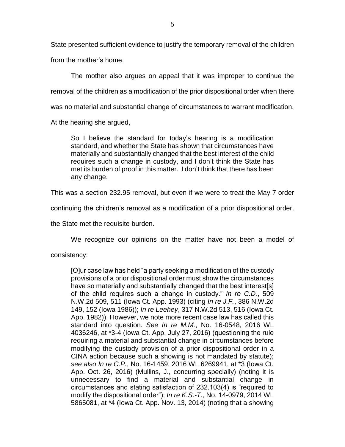State presented sufficient evidence to justify the temporary removal of the children

from the mother's home.

The mother also argues on appeal that it was improper to continue the removal of the children as a modification of the prior dispositional order when there was no material and substantial change of circumstances to warrant modification.

At the hearing she argued,

So I believe the standard for today's hearing is a modification standard, and whether the State has shown that circumstances have materially and substantially changed that the best interest of the child requires such a change in custody, and I don't think the State has met its burden of proof in this matter. I don't think that there has been any change.

This was a section 232.95 removal, but even if we were to treat the May 7 order

continuing the children's removal as a modification of a prior dispositional order,

the State met the requisite burden.

We recognize our opinions on the matter have not been a model of

consistency:

[O]ur case law has held "a party seeking a modification of the custody provisions of a prior dispositional order must show the circumstances have so materially and substantially changed that the best interest[s] of the child requires such a change in custody." *In re C.D.*, 509 N.W.2d 509, 511 (Iowa Ct. App. 1993) (citing *In re J.F.*, 386 N.W.2d 149, 152 (Iowa 1986)); *In re Leehey*, 317 N.W.2d 513, 516 (Iowa Ct. App. 1982)). However, we note more recent case law has called this standard into question. *See In re M.M.*, No. 16-0548, 2016 WL 4036246, at \*3-4 (Iowa Ct. App. July 27, 2016) (questioning the rule requiring a material and substantial change in circumstances before modifying the custody provision of a prior dispositional order in a CINA action because such a showing is not mandated by statute); *see also In re C.P.*, No. 16-1459, 2016 WL 6269941, at \*3 (Iowa Ct. App. Oct. 26, 2016) (Mullins, J., concurring specially) (noting it is unnecessary to find a material and substantial change in circumstances and stating satisfaction of 232.103(4) is "required to modify the dispositional order"); *In re K.S.-T.*, No. 14-0979, 2014 WL 5865081, at \*4 (Iowa Ct. App. Nov. 13, 2014) (noting that a showing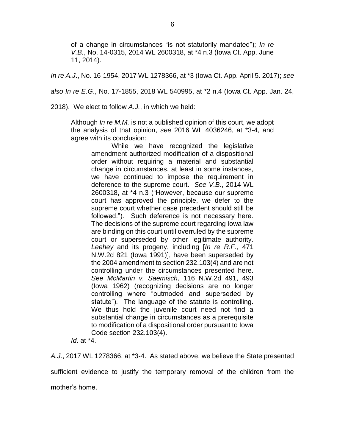of a change in circumstances "is not statutorily mandated"); *In re V.B.*, No. 14-0315, 2014 WL 2600318, at \*4 n.3 (Iowa Ct. App. June 11, 2014).

*In re A.J*., No. 16-1954, 2017 WL 1278366, at \*3 (Iowa Ct. App. April 5. 2017); *see* 

*also In re E.G*., No. 17-1855, 2018 WL 540995, at \*2 n.4 (Iowa Ct. App. Jan. 24,

2018). We elect to follow *A.J.*, in which we held:

Although *In re M.M.* is not a published opinion of this court, we adopt the analysis of that opinion, *see* 2016 WL 4036246, at \*3-4, and agree with its conclusion:

While we have recognized the legislative amendment authorized modification of a dispositional order without requiring a material and substantial change in circumstances, at least in some instances, we have continued to impose the requirement in deference to the supreme court. *See V.B*., 2014 WL 2600318, at \*4 n.3 ("However, because our supreme court has approved the principle, we defer to the supreme court whether case precedent should still be followed."). Such deference is not necessary here. The decisions of the supreme court regarding Iowa law are binding on this court until overruled by the supreme court or superseded by other legitimate authority. *Leehey* and its progeny, including [*In re R.F*., 471 N.W.2d 821 (Iowa 1991)], have been superseded by the 2004 amendment to section 232.103(4) and are not controlling under the circumstances presented here. *See McMartin v. Saemisch*, 116 N.W.2d 491, 493 (Iowa 1962) (recognizing decisions are no longer controlling where "outmoded and superseded by statute"). The language of the statute is controlling. We thus hold the juvenile court need not find a substantial change in circumstances as a prerequisite to modification of a dispositional order pursuant to Iowa Code section 232.103(4).

*Id*. at \*4.

*A.J*., 2017 WL 1278366, at \*3-4. As stated above, we believe the State presented sufficient evidence to justify the temporary removal of the children from the mother's home.